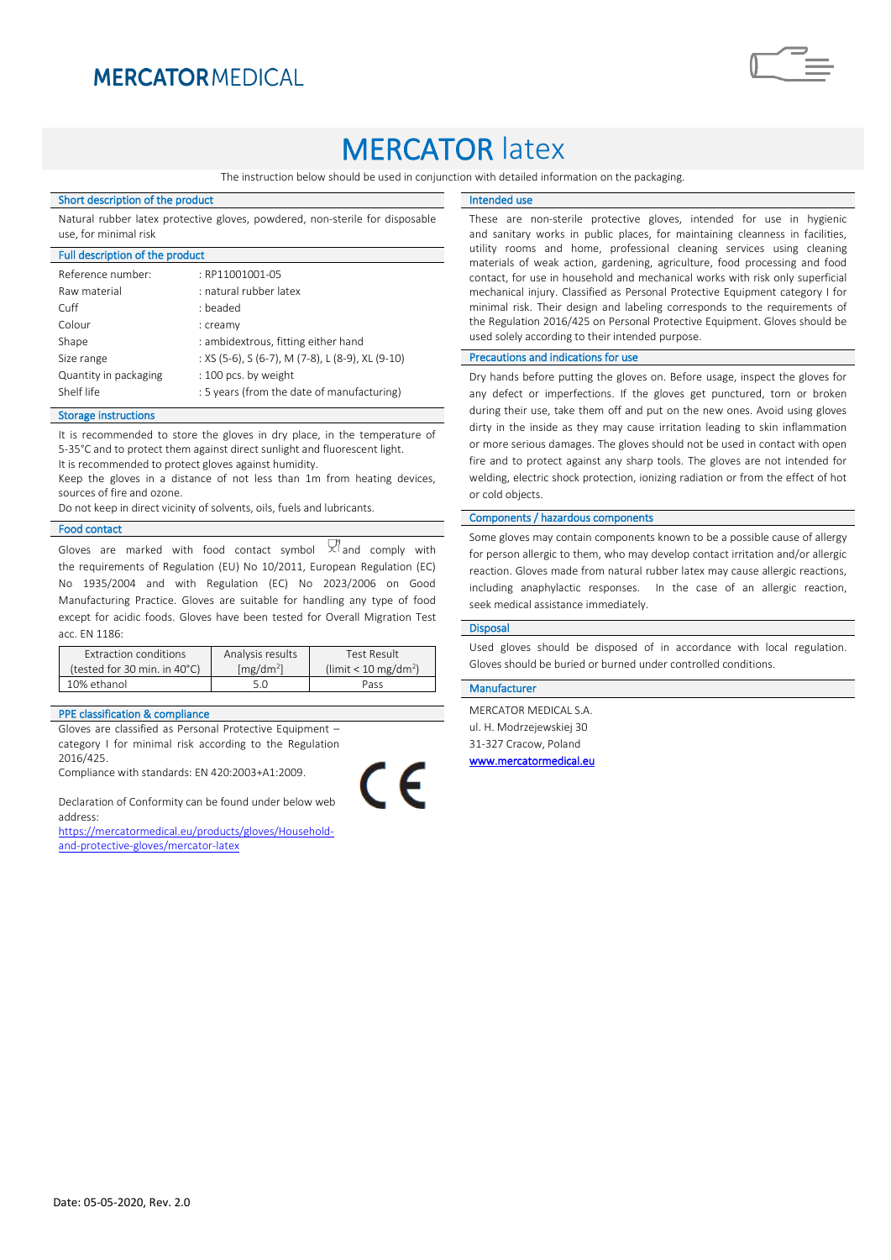# **MERCATOR MEDICAL**

# **MERCATOR latex**

The instruction below should be used in conjunction with detailed information on the packaging.

#### Short description of the product

Natural rubber latex protective gloves, powdered, non-sterile for disposable use, for minimal risk

| Full description of the product |                                                  |
|---------------------------------|--------------------------------------------------|
| Reference number:               | : RP11001001-05                                  |
| Raw material                    | : natural rubber latex                           |
| Cuff                            | : beaded                                         |
| Colour                          | : creamy                                         |
| Shape                           | : ambidextrous, fitting either hand              |
| Size range                      | : XS (5-6), S (6-7), M (7-8), L (8-9), XL (9-10) |
| Quantity in packaging           | : 100 pcs. by weight                             |
| Shelf life                      | : 5 years (from the date of manufacturing)       |

## Storage instructions

It is recommended to store the gloves in dry place, in the temperature of 5-35°C and to protect them against direct sunlight and fluorescent light. It is recommended to protect gloves against humidity.

Keep the gloves in a distance of not less than 1m from heating devices, sources of fire and ozone.

Do not keep in direct vicinity of solvents, oils, fuels and lubricants.

## Food contact

Gloves are marked with food contact symbol  $\forall$  and comply with the requirements of Regulation (EU) No 10/2011, European Regulation (EC) No 1935/2004 and with Regulation (EC) No 2023/2006 on Good Manufacturing Practice. Gloves are suitable for handling any type of food except for acidic foods. Gloves have been tested for Overall Migration Test acc. EN 1186:

| Extraction conditions        | Analysis results      | Test Result                      |
|------------------------------|-----------------------|----------------------------------|
| (tested for 30 min. in 40°C) | [mg/dm <sup>2</sup> ] | (limit < 10 mg/dm <sup>2</sup> ) |
| 10% ethanol                  | 5 N                   | Pass                             |

#### PPE classification & compliance

Gloves are classified as Personal Protective Equipment – category I for minimal risk according to the Regulation 2016/425.

Compliance with standards: EN 420:2003+A1:2009.

Declaration of Conformity can be found under below web address:

[https://mercatormedical.eu/products/gloves/Household](https://mercatormedical.eu/products/gloves/Household-and-protective-gloves/mercator-latex)[and-protective-gloves/mercator-latex](https://mercatormedical.eu/products/gloves/Household-and-protective-gloves/mercator-latex)

# Intended use

These are non-sterile protective gloves, intended for use in hygienic and sanitary works in public places, for maintaining cleanness in facilities, utility rooms and home, professional cleaning services using cleaning materials of weak action, gardening, agriculture, food processing and food contact, for use in household and mechanical works with risk only superficial mechanical injury. Classified as Personal Protective Equipment category I for minimal risk. Their design and labeling corresponds to the requirements of the Regulation 2016/425 on Personal Protective Equipment. Gloves should be used solely according to their intended purpose.

# Precautions and indications for use

Dry hands before putting the gloves on. Before usage, inspect the gloves for any defect or imperfections. If the gloves get punctured, torn or broken during their use, take them off and put on the new ones. Avoid using gloves dirty in the inside as they may cause irritation leading to skin inflammation or more serious damages. The gloves should not be used in contact with open fire and to protect against any sharp tools. The gloves are not intended for welding, electric shock protection, ionizing radiation or from the effect of hot or cold objects.

### Components / hazardous components

Some gloves may contain components known to be a possible cause of allergy for person allergic to them, who may develop contact irritation and/or allergic reaction. Gloves made from natural rubber latex may cause allergic reactions, including anaphylactic responses. In the case of an allergic reaction, seek medical assistance immediately.

#### Disposal

 $\epsilon$ 

Used gloves should be disposed of in accordance with local regulation. Gloves should be buried or burned under controlled conditions.

### Manufacturer

MERCATOR MEDICAL S.A. ul. H. Modrzejewskiej 30 31-327 Cracow, Poland [www.mercatormedical.eu](http://www.mercatormedical.eu/)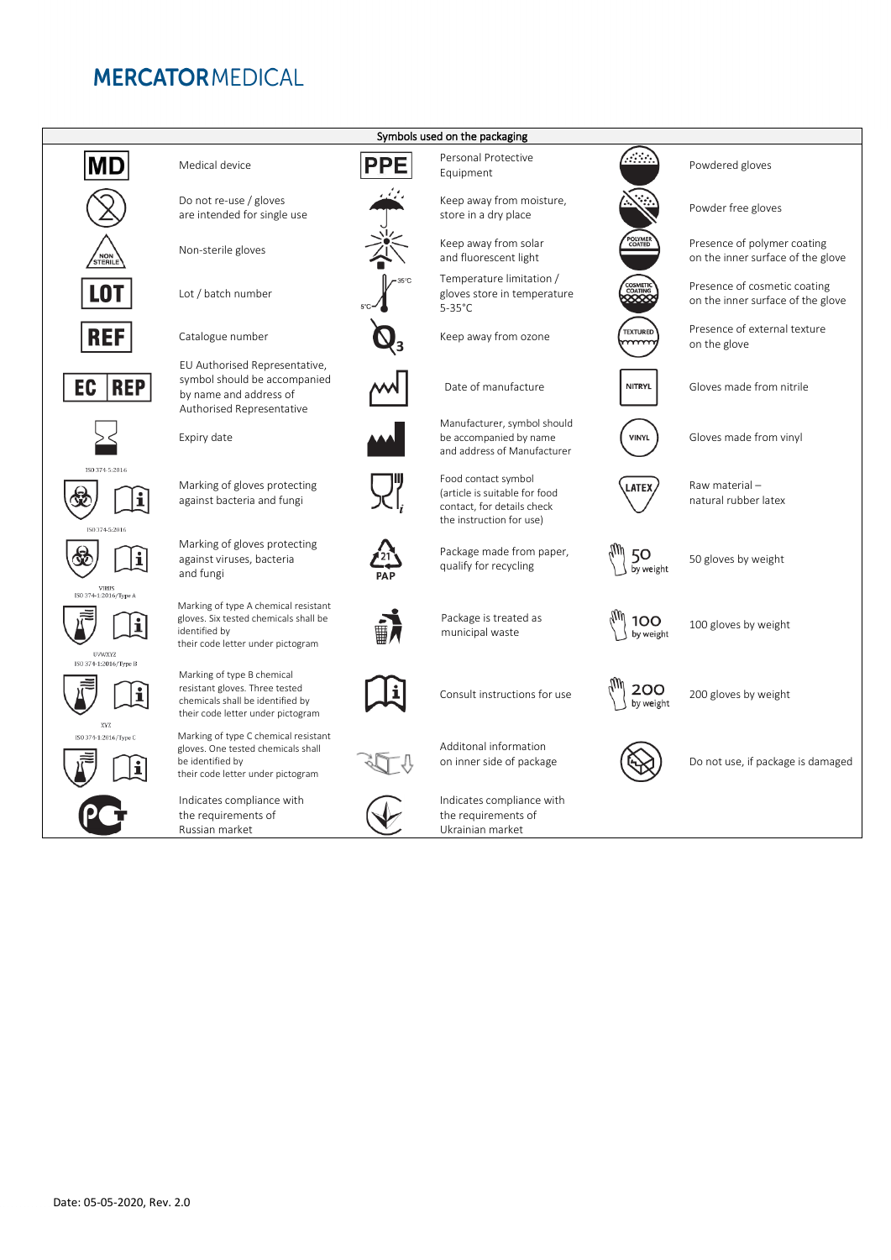# **MERCATORMEDICAL**